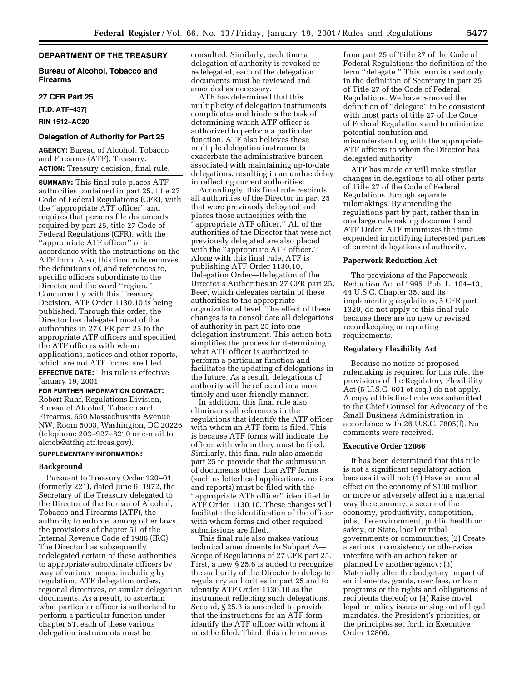## **DEPARTMENT OF THE TREASURY**

## **Bureau of Alcohol, Tobacco and Firearms**

## **27 CFR Part 25**

**[T.D. ATF–437]**

**RIN 1512–AC20**

## **Delegation of Authority for Part 25**

**AGENCY:** Bureau of Alcohol, Tobacco and Firearms (ATF), Treasury. **ACTION:** Treasury decision, final rule.

**SUMMARY:** This final rule places ATF authorities contained in part 25, title 27 Code of Federal Regulations (CFR), with the ''appropriate ATF officer'' and requires that persons file documents required by part 25, title 27 Code of Federal Regulations (CFR), with the ''appropriate ATF officer'' or in accordance with the instructions on the ATF form. Also, this final rule removes the definitions of, and references to, specific officers subordinate to the Director and the word ''region.'' Concurrently with this Treasury Decision, ATF Order 1130.10 is being published. Through this order, the Director has delegated most of the authorities in 27 CFR part 25 to the appropriate ATF officers and specified the ATF officers with whom applications, notices and other reports, which are not ATF forms, are filed. **EFFECTIVE DATE:** This rule is effective

January 19, 2001.

**FOR FURTHER INFORMATION CONTACT:** Robert Ruhf, Regulations Division, Bureau of Alcohol, Tobacco and Firearms, 650 Massachusetts Avenue NW, Room 5003, Washington, DC 20226 (telephone 202–927–8210 or e-mail to alctob@atfhq.atf.treas.gov).

## **SUPPLEMENTARY INFORMATION:**

## **Background**

Pursuant to Treasury Order 120–01 (formerly 221), dated June 6, 1972, the Secretary of the Treasury delegated to the Director of the Bureau of Alcohol, Tobacco and Firearms (ATF), the authority to enforce, among other laws, the provisions of chapter 51 of the Internal Revenue Code of 1986 (IRC). The Director has subsequently redelegated certain of these authorities to appropriate subordinate officers by way of various means, including by regulation, ATF delegation orders, regional directives, or similar delegation documents. As a result, to ascertain what particular officer is authorized to perform a particular function under chapter 51, each of these various delegation instruments must be

consulted. Similarly, each time a delegation of authority is revoked or redelegated, each of the delegation documents must be reviewed and amended as necessary.

ATF has determined that this multiplicity of delegation instruments complicates and hinders the task of determining which ATF officer is authorized to perform a particular function. ATF also believes these multiple delegation instruments exacerbate the administrative burden associated with maintaining up-to-date delegations, resulting in an undue delay in reflecting current authorities.

Accordingly, this final rule rescinds all authorities of the Director in part 25 that were previously delegated and places those authorities with the ''appropriate ATF officer.'' All of the authorities of the Director that were not previously delegated are also placed with the ''appropriate ATF officer.'' Along with this final rule, ATF is publishing ATF Order 1130.10, Delegation Order—Delegation of the Director's Authorities in 27 CFR part 25, Beer, which delegates certain of these authorities to the appropriate organizational level. The effect of these changes is to consolidate all delegations of authority in part 25 into one delegation instrument. This action both simplifies the process for determining what ATF officer is authorized to perform a particular function and facilitates the updating of delegations in the future. As a result, delegations of authority will be reflected in a more timely and user-friendly manner.

In addition, this final rule also eliminates all references in the regulations that identify the ATF officer with whom an ATF form is filed. This is because ATF forms will indicate the officer with whom they must be filed. Similarly, this final rule also amends part 25 to provide that the submission of documents other than ATF forms (such as letterhead applications, notices and reports) must be filed with the ''appropriate ATF officer'' identified in ATF Order 1130.10. These changes will facilitate the identification of the officer with whom forms and other required submissions are filed.

This final rule also makes various technical amendments to Subpart A— Scope of Regulations of 27 CFR part 25. First, a new § 25.6 is added to recognize the authority of the Director to delegate regulatory authorities in part 25 and to identify ATF Order 1130.10 as the instrument reflecting such delegations. Second, § 25.3 is amended to provide that the instructions for an ATF form identify the ATF officer with whom it must be filed. Third, this rule removes

from part 25 of Title 27 of the Code of Federal Regulations the definition of the term ''delegate.'' This term is used only in the definition of Secretary in part 25 of Title 27 of the Code of Federal Regulations. We have removed the definition of ''delegate'' to be consistent with most parts of title 27 of the Code of Federal Regulations and to minimize potential confusion and misunderstanding with the appropriate ATF officers to whom the Director has delegated authority.

ATF has made or will make similar changes in delegations to all other parts of Title 27 of the Code of Federal Regulations through separate rulemakings. By amending the regulations part by part, rather than in one large rulemaking document and ATF Order, ATF minimizes the time expended in notifying interested parties of current delegations of authority.

### **Paperwork Reduction Act**

The provisions of the Paperwork Reduction Act of 1995, Pub. L. 104–13, 44 U.S.C. Chapter 35, and its implementing regulations, 5 CFR part 1320, do not apply to this final rule because there are no new or revised recordkeeping or reporting requirements.

## **Regulatory Flexibility Act**

Because no notice of proposed rulemaking is required for this rule, the provisions of the Regulatory Flexibility Act (5 U.S.C. 601 et seq.) do not apply. A copy of this final rule was submitted to the Chief Counsel for Advocacy of the Small Business Administration in accordance with 26 U.S.C. 7805(f). No comments were received.

#### **Executive Order 12866**

It has been determined that this rule is not a significant regulatory action because it will not: (1) Have an annual effect on the economy of \$100 million or more or adversely affect in a material way the economy, a sector of the economy, productivity, competition, jobs, the environment, public health or safety, or State, local or tribal governments or communities; (2) Create a serious inconsistency or otherwise interfere with an action taken or planned by another agency; (3) Materially alter the budgetary impact of entitlements, grants, user fees, or loan programs or the rights and obligations of recipients thereof; or (4) Raise novel legal or policy issues arising out of legal mandates, the President's priorities, or the principles set forth in Executive Order 12866.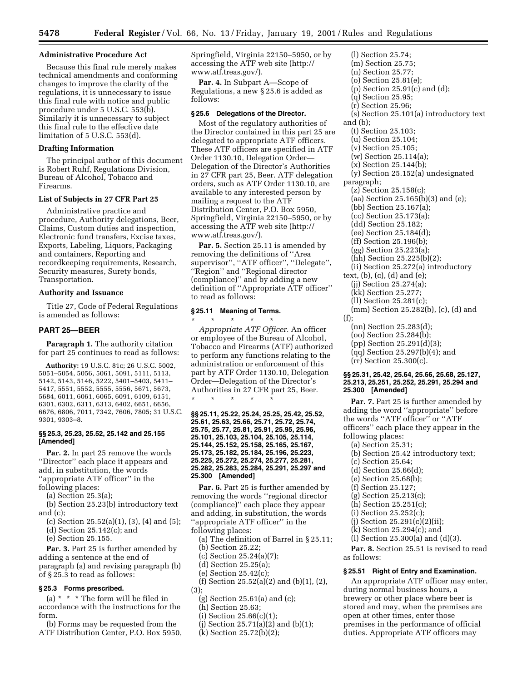### **Administrative Procedure Act**

Because this final rule merely makes technical amendments and conforming changes to improve the clarity of the regulations, it is unnecessary to issue this final rule with notice and public procedure under 5 U.S.C. 553(b). Similarly it is unnecessary to subject this final rule to the effective date limitation of 5 U.S.C. 553(d).

### **Drafting Information**

The principal author of this document is Robert Ruhf, Regulations Division, Bureau of Alcohol, Tobacco and Firearms.

### **List of Subjects in 27 CFR Part 25**

Administrative practice and procedure, Authority delegations, Beer, Claims, Custom duties and inspection, Electronic fund transfers, Excise taxes, Exports, Labeling, Liquors, Packaging and containers, Reporting and recordkeeping requirements, Research, Security measures, Surety bonds, Transportation.

## **Authority and Issuance**

Title 27, Code of Federal Regulations is amended as follows:

## **PART 25—BEER**

**Paragraph 1.** The authority citation for part 25 continues to read as follows:

**Authority:** 19 U.S.C. 81c; 26 U.S.C. 5002, 5051–5054, 5056, 5061, 5091, 5111, 5113, 5142, 5143, 5146, 5222, 5401–5403, 5411– 5417, 5551, 5552, 5555, 5556, 5671, 5673, 5684, 6011, 6061, 6065, 6091, 6109, 6151, 6301, 6302, 6311, 6313, 6402, 6651, 6656, 6676, 6806, 7011, 7342, 7606, 7805; 31 U.S.C. 9301, 9303–8.

## **§§ 25.3, 25.23, 25.52, 25.142 and 25.155 [Amended]**

**Par. 2.** In part 25 remove the words ''Director'' each place it appears and add, in substitution, the words ''appropriate ATF officer'' in the

following places:

(a) Section 25.3(a);

(b) Section 25.23(b) introductory text and (c);

- (c) Section 25.52(a)(1), (3), (4) and (5);
- (d) Section 25.142(c); and

(e) Section 25.155.

**Par. 3.** Part 25 is further amended by adding a sentence at the end of paragraph (a) and revising paragraph (b) of § 25.3 to read as follows:

## **§ 25.3 Forms prescribed.**

(a) \* \* \* The form will be filed in accordance with the instructions for the form.

(b) Forms may be requested from the ATF Distribution Center, P.O. Box 5950, Springfield, Virginia 22150–5950, or by accessing the ATF web site (http:// www.atf.treas.gov/).

**Par. 4.** In Subpart A—Scope of Regulations, a new § 25.6 is added as follows:

### **§ 25.6 Delegations of the Director.**

Most of the regulatory authorities of the Director contained in this part 25 are delegated to appropriate ATF officers. These ATF officers are specified in ATF Order 1130.10, Delegation Order— Delegation of the Director's Authorities in 27 CFR part 25, Beer. ATF delegation orders, such as ATF Order 1130.10, are available to any interested person by mailing a request to the ATF Distribution Center, P.O. Box 5950, Springfield, Virginia 22150–5950, or by accessing the ATF web site (http:// www.atf.treas.gov/).

Par. 5. Section 25.11 is amended by removing the definitions of ''Area supervisor'', ''ATF officer'', ''Delegate'', ''Region'' and ''Regional director (compliance)'' and by adding a new definition of ''Appropriate ATF officer'' to read as follows:

## **§ 25.11 Meaning of Terms.**

\* \* \* \* \* *Appropriate ATF Officer.* An officer or employee of the Bureau of Alcohol, Tobacco and Firearms (ATF) authorized to perform any functions relating to the administration or enforcement of this part by ATF Order 1130.10, Delegation Order—Delegation of the Director's Authorities in 27 CFR part 25, Beer. \* \* \* \* \*

**§§ 25.11, 25.22, 25.24, 25.25, 25.42, 25.52, 25.61, 25.63, 25.66, 25.71, 25.72, 25.74, 25.75, 25.77, 25.81, 25.91, 25.95, 25.96, 25.101, 25.103, 25.104, 25.105, 25.114, 25.144, 25.152, 25.158, 25.165, 25.167, 25.173, 25.182, 25.184, 25.196, 25.223, 25.225, 25.272, 25.274, 25.277, 25.281, 25.282, 25.283, 25.284, 25.291, 25.297 and 25.300 [Amended]**

Par. 6. Part 25 is further amended by removing the words ''regional director (compliance)'' each place they appear and adding, in substitution, the words ''appropriate ATF officer'' in the following places:

(a) The definition of Barrel in § 25.11;

(b) Section 25.22;

(c) Section 25.24(a)(7); (d) Section 25.25(a);

- (e) Section 25.42(c);
- 
- (f) Section 25.52(a)(2) and (b)(1), (2), (3);
	- (g) Section 25.61(a) and (c);
	- (h) Section 25.63;
	- (i) Section 25.66(c)(1);
	- (j) Section 25.71(a)(2) and (b)(1);
	- (k) Section 25.72(b)(2);

(l) Section 25.74; (m) Section 25.75; (n) Section 25.77; (o) Section 25.81(e); (p) Section 25.91(c) and (d); (q) Section 25.95; (r) Section 25.96; (s) Section 25.101(a) introductory text and (b); (t) Section 25.103; (u) Section 25.104; (v) Section 25.105; (w) Section 25.114(a); (x) Section 25.144(b); (y) Section 25.152(a) undesignated paragraph; (z) Section 25.158(c); (aa) Section 25.165(b)(3) and (e); (bb) Section 25.167(a); (cc) Section 25.173(a); (dd) Section 25.182; (ee) Section 25.184(d); (ff) Section 25.196(b); (gg) Section 25.223(a); (hh) Section 25.225(b)(2); (ii) Section 25.272(a) introductory text, (b), (c), (d) and (e); (jj) Section 25.274(a); (kk) Section 25.277; (ll) Section 25.281(c); (mm) Section 25.282(b), (c), (d) and (f); (nn) Section 25.283(d); (oo) Section 25.284(b); (pp) Section 25.291(d)(3); (qq) Section 25.297(b)(4); and (rr) Section 25.300(c).

## **§§ 25.31, 25.42, 25.64, 25.66, 25.68, 25.127, 25.213, 25.251, 25.252, 25.291, 25.294 and 25.300 [Amended]**

**Par. 7.** Part 25 is further amended by adding the word ''appropriate'' before the words ''ATF officer'' or ''ATF officers'' each place they appear in the following places:

- (a) Section 25.31;
- (b) Section 25.42 introductory text;
- (c) Section 25.64;
- (d) Section 25.66(d);
- (e) Section 25.68(b);
- (f) Section 25.127;
- (g) Section 25.213(c);
- (h) Section 25.251(c);
- (i) Section 25.252(c);
- $(i)$  Section 25.291 $(c)(2)(ii);$
- (k) Section 25.294(c); and
- (l) Section 25.300(a) and (d)(3).

Par. 8. Section 25.51 is revised to read as follows:

#### **§ 25.51 Right of Entry and Examination.**

An appropriate ATF officer may enter, during normal business hours, a brewery or other place where beer is stored and may, when the premises are open at other times, enter those premises in the performance of official duties. Appropriate ATF officers may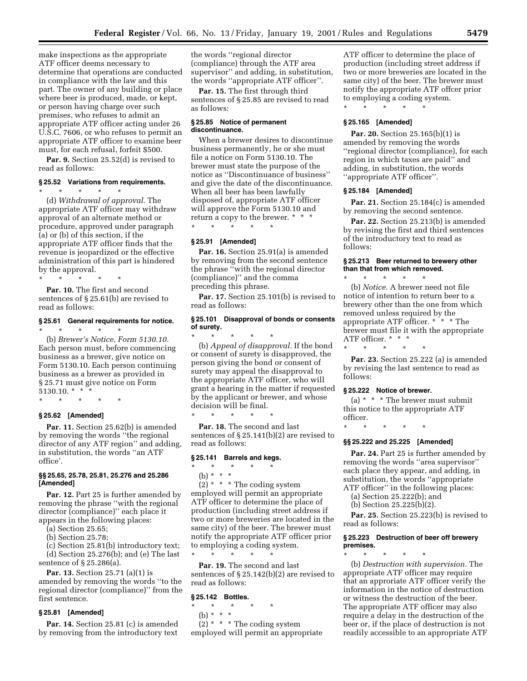make inspections as the appropriate ATF officer deems necessary to determine that operations are conducted in compliance with the law and this part. The owner of any building or place where beer is produced, made, or kept, or person having charge over such premises, who refuses to admit an appropriate ATF officer acting under 26 U.S.C. 7606, or who refuses to permit an appropriate ATF officer to examine beer must, for each refusal, forfeit \$500.

Par. 9. Section 25.52(d) is revised to read as follows:

### **§ 25.52 Variations from requirements.**

\* \* \* \* \* (d) *Withdrawal of approval.* The appropriate ATF officer may withdraw approval of an alternate method or procedure, approved under paragraph (a) or (b) of this section, if the appropriate ATF officer finds that the revenue is jeopardized or the effective administration of this part is hindered by the approval.

\* \* \* \* \* Par. 10. The first and second sentences of § 25.61(b) are revised to read as follows:

### **§ 25.61 General requirements for notice.** \* \* \* \* \*

(b) *Brewer's Notice, Form 5130.10.* Each person must, before commencing business as a brewer, give notice on Form 5130.10. Each person continuing business as a brewer as provided in § 25.71 must give notice on Form 5130.10. \* \* \*

\* \* \* \* \*

### **§ 25.62 [Amended]**

Par. 11. Section 25.62(b) is amended by removing the words ''the regional director of any ATF region'' and adding, in substitution, the words ''an ATF office'.

### **§§ 25.65, 25.78, 25.81, 25.276 and 25.286 [Amended]**

**Par. 12.** Part 25 is further amended by removing the phrase ''with the regional director (compliance)'' each place it appears in the following places:

- (a) Section 25.65;
- (b) Section 25.78;

(c) Section 25.81(b) introductory text; (d) Section 25.276(b); and (e) The last sentence of § 25.286(a).

**Par. 13.** Section 25.71 (a)(1) is amended by removing the words ''to the regional director (compliance)'' from the first sentence.

#### **§ 25.81 [Amended]**

**Par. 14.** Section 25.81 (c) is amended by removing from the introductory text the words ''regional director (compliance) through the ATF area supervisor'' and adding, in substitution, the words ''appropriate ATF officer''.

**Par. 15.** The first through third sentences of § 25.85 are revised to read as follows:

### **§ 25.85 Notice of permanent discontinuance.**

When a brewer desires to discontinue business permanently, he or she must file a notice on Form 5130.10. The brewer must state the purpose of the notice as ''Discontinuance of business'' and give the date of the discontinuance. When all beer has been lawfully disposed of, appropriate ATF officer will approve the Form 5130.10 and return a copy to the brewer. \* \* \* \* \* \* \* \*

#### **§ 25.91 [Amended]**

**Par. 16.** Section 25.91(a) is amended by removing from the second sentence the phrase ''with the regional director (compliance)'' and the comma preceding this phrase.

Par. 17. Section 25.101(b) is revised to read as follows:

## **§ 25.101 Disapproval of bonds or consents of surety.**

\* \* \* \* \* (b) *Appeal of disapproval.* If the bond or consent of surety is disapproved, the person giving the bond or consent of surety may appeal the disapproval to the appropriate ATF officer, who will grant a hearing in the matter if requested by the applicant or brewer, and whose decision will be final.

\* \* \* \* \* Par. 18. The second and last sentences of § 25.141(b)(2) are revised to read as follows:

### **§ 25.141 Barrels and kegs.**

- \* \* \* \* \*
	- (b) \* \* \*

 $(2)$  \* \* \* The coding system employed will permit an appropriate ATF officer to determine the place of production (including street address if two or more breweries are located in the same city) of the beer. The brewer must notify the appropriate ATF officer prior to employing a coding system. \* \* \* \* \*

Par. 19. The second and last sentences of § 25.142(b)(2) are revised to read as follows:

## **§ 25.142 Bottles.**

\* \* \* \* \* (b) \* \* \*

 $(2)$  \* \* \* The coding system employed will permit an appropriate ATF officer to determine the place of production (including street address if two or more breweries are located in the same city) of the beer. The brewer must notify the appropriate ATF offcer prior to employing a coding system.

## **§ 25.165 [Amended]**

\* \* \* \* \*

**Par. 20.** Section 25.165(b)(1) is amended by removing the words ''regional director (compliance), for each region in which taxes are paid'' and adding, in substitution, the words ''appropriate ATF officer''.

#### **§ 25.184 [Amended]**

**Par. 21.** Section 25.184(c) is amended by removing the second sentence.

**Par. 22.** Section 25.213(b) is amended by revising the first and third sentences of the introductory text to read as follows:

## **§ 25.213 Beer returned to brewery other than that from which removed.** \* \* \* \* \*

(b) *Notice.* A brewer need not file notice of intention to return beer to a brewery other than the one from which removed unless required by the appropriate ATF officer. \* \* \* The brewer must file it with the appropriate ATF officer. \* \* \* \* \* \* \* \*

**Par. 23.** Section 25.222 (a) is amended by revising the last sentence to read as follows:

#### **§ 25.222 Notice of brewer.**

(a)  $*$   $*$   $*$  The brewer must submit this notice to the appropriate ATF officer.

\* \* \* \* \*

#### **§§ 25.222 and 25.225 [Amended]**

Par. 24. Part 25 is further amended by removing the words ''area supervisor'' each place they appear, and adding, in substitution, the words ''appropriate ATF officer'' in the following places:

- (a) Section 25.222(b); and
- (b) Section 25.225(b)(2).

Par. 25. Section 25.223(b) is revised to read as follows:

## **§ 25.223 Destruction of beer off brewery premises.**

\* \* \* \* \* (b) *Destruction with supervision.* The appropriate ATF officer may require that an approriate ATF officer verify the information in the notice of destruction or witness the destruction of the beer. The appropriate ATF officer may also require a delay in the destruction of the beer or, if the place of destruction is not readily accessible to an appropriate ATF